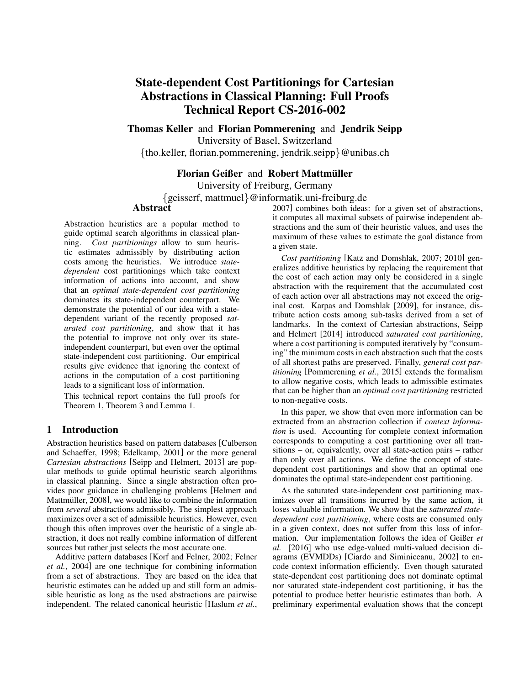# State-dependent Cost Partitionings for Cartesian Abstractions in Classical Planning: Full Proofs Technical Report CS-2016-002

Thomas Keller and Florian Pommerening and Jendrik Seipp

University of Basel, Switzerland

{tho.keller, florian.pommerening, jendrik.seipp}@unibas.ch

### Florian Geißer and Robert Mattmüller

University of Freiburg, Germany

{geisserf, mattmuel}@informatik.uni-freiburg.de

# **Abstract**

Abstraction heuristics are a popular method to guide optimal search algorithms in classical planning. *Cost partitionings* allow to sum heuristic estimates admissibly by distributing action costs among the heuristics. We introduce *statedependent* cost partitionings which take context information of actions into account, and show that an *optimal state-dependent cost partitioning* dominates its state-independent counterpart. We demonstrate the potential of our idea with a statedependent variant of the recently proposed *saturated cost partitioning*, and show that it has the potential to improve not only over its stateindependent counterpart, but even over the optimal state-independent cost partitioning. Our empirical results give evidence that ignoring the context of actions in the computation of a cost partitioning leads to a significant loss of information.

This technical report contains the full proofs for Theorem 1, Theorem 3 and Lemma 1.

## 1 Introduction

Abstraction heuristics based on pattern databases [Culberson and Schaeffer, 1998; Edelkamp, 2001] or the more general *Cartesian abstractions* [Seipp and Helmert, 2013] are popular methods to guide optimal heuristic search algorithms in classical planning. Since a single abstraction often provides poor guidance in challenging problems [Helmert and Mattmüller, 2008], we would like to combine the information from *several* abstractions admissibly. The simplest approach maximizes over a set of admissible heuristics. However, even though this often improves over the heuristic of a single abstraction, it does not really combine information of different sources but rather just selects the most accurate one.

Additive pattern databases [Korf and Felner, 2002; Felner *et al.*, 2004] are one technique for combining information from a set of abstractions. They are based on the idea that heuristic estimates can be added up and still form an admissible heuristic as long as the used abstractions are pairwise independent. The related canonical heuristic [Haslum *et al.*, 2007] combines both ideas: for a given set of abstractions, it computes all maximal subsets of pairwise independent abstractions and the sum of their heuristic values, and uses the maximum of these values to estimate the goal distance from a given state.

*Cost partitioning* [Katz and Domshlak, 2007; 2010] generalizes additive heuristics by replacing the requirement that the cost of each action may only be considered in a single abstraction with the requirement that the accumulated cost of each action over all abstractions may not exceed the original cost. Karpas and Domshlak [2009], for instance, distribute action costs among sub-tasks derived from a set of landmarks. In the context of Cartesian abstractions, Seipp and Helmert [2014] introduced *saturated cost partitioning*, where a cost partitioning is computed iteratively by "consuming" the minimum costs in each abstraction such that the costs of all shortest paths are preserved. Finally, *general cost partitioning* [Pommerening *et al.*, 2015] extends the formalism to allow negative costs, which leads to admissible estimates that can be higher than an *optimal cost partitioning* restricted to non-negative costs.

In this paper, we show that even more information can be extracted from an abstraction collection if *context information* is used. Accounting for complete context information corresponds to computing a cost partitioning over all transitions – or, equivalently, over all state-action pairs – rather than only over all actions. We define the concept of statedependent cost partitionings and show that an optimal one dominates the optimal state-independent cost partitioning.

As the saturated state-independent cost partitioning maximizes over all transitions incurred by the same action, it loses valuable information. We show that the *saturated statedependent cost partitioning*, where costs are consumed only in a given context, does not suffer from this loss of information. Our implementation follows the idea of Geißer *et al.* [2016] who use edge-valued multi-valued decision diagrams (EVMDDs) [Ciardo and Siminiceanu, 2002] to encode context information efficiently. Even though saturated state-dependent cost partitioning does not dominate optimal nor saturated state-independent cost partitioning, it has the potential to produce better heuristic estimates than both. A preliminary experimental evaluation shows that the concept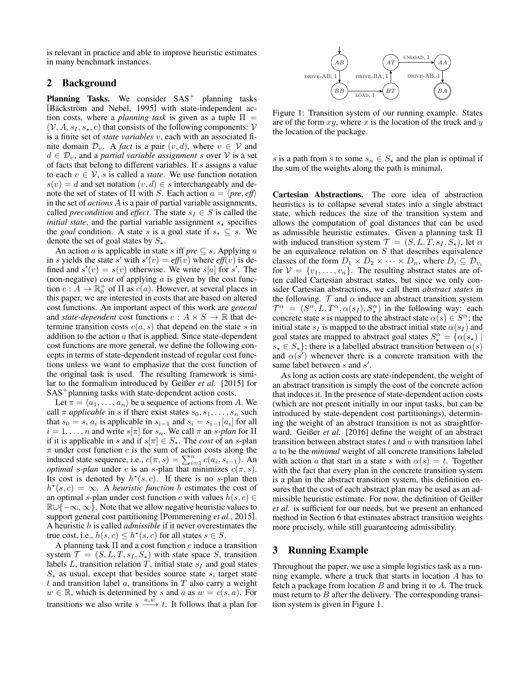is relevant in practice and able to improve heuristic estimates in many benchmark instances.

#### 2 Background

**Planning Tasks.** We consider  $SAS<sup>+</sup>$  planning tasks [Bäckström and Nebel, 1995] with state-independent action costs, where a *planning task* is given as a tuple  $\Pi$  =  $(V, A, s<sub>I</sub>, s<sub>*</sub>, c)$  that consists of the following components: V is a finite set of *state variables* v, each with an associated finite domain  $\mathcal{D}_v$ . A *fact* is a pair  $(v, d)$ , where  $v \in V$  and  $d \in \mathcal{D}_v$ , and a *partial variable assignment* s over  $V$  is a set of facts that belong to different variables. If s assigns a value to each  $v \in V$ , *s* is called a *state*. We use function notation  $s(v) = d$  and set notation  $(v, d) \in s$  interchangeably and denote the set of states of  $\Pi$  with S. Each action  $a = \langle pre, eff \rangle$ in the set of *actions* A is a pair of partial variable assignments, called *precondition* and *effect*. The state  $s_I \in S$  is called the *initial state*, and the partial variable assignment  $s_{\star}$  specifies the *goal* condition. A state s is a goal state if  $s_{\star} \subseteq s$ . We denote the set of goal states by  $S_{\star}$ .

An action *a* is applicable in state *s* iff *pre*  $\subseteq$  *s*. Applying *a* in s yields the state s' with  $s'(v) = eff(v)$  where  $eff(v)$  is defined and  $s'(v) = s(v)$  otherwise. We write  $s[a]$  for  $s'$ . The (non-negative) *cost* of applying a is given by the cost function  $c : A \to \mathbb{R}_0^+$  of  $\Pi$  as  $c(a)$ . However, at several places in this paper, we are interested in costs that are based on altered cost functions. An important aspect of this work are *general* and *state-dependent* cost functions  $c : A \times S \to \mathbb{R}$  that determine transition costs  $c(a, s)$  that depend on the state s in addition to the action  $a$  that is applied. Since state-dependent cost functions are more general, we define the following concepts in terms of state-dependent instead of regular cost functions unless we want to emphasize that the cost function of the original task is used. The resulting framework is similar to the formalism introduced by Geißer *et al.* [2015] for SAS<sup>+</sup> planning tasks with state-dependent action costs.

Let  $\pi = \langle a_1, \ldots, a_n \rangle$  be a sequence of actions from A. We call  $\pi$  *applicable* in s if there exist states  $s_0, s_1, \ldots, s_n$  such that  $s_0 = s$ ,  $a_i$  is applicable in  $s_{i-1}$  and  $s_i = s_{i-1}[a_i]$  for all  $i = 1, \dots, n$  and write  $s[\pi]$  for  $s_n$ . We call  $\pi$  an  $s$ -plan for  $\Pi$ if it is applicable in s and if  $s[\pi] \in S_{\star}$ . The *cost* of an s-plan  $\pi$  under cost function c is the sum of action costs along the induced state sequence, i.e.,  $c(\pi, s) = \sum_{i=1}^{n} c(a_i, s_{i-1})$ . An *optimal* s-plan under c is an s-plan that minimizes  $c(\pi, s)$ . Its cost is denoted by  $h^*(s, c)$ . If there is no s-plan then  $h^*(s, c) = \infty$ . A *heuristic function* h estimates the cost of an optimal s-plan under cost function c with values  $h(s, c) \in$  $\mathbb{R} \cup \{-\infty, \infty\}$ . Note that we allow negative heuristic values to support general cost partitioning [Pommerening *et al.*, 2015]. A heuristic h is called *admissible* if it never overestimates the true cost, i.e.,  $h(s, c) \leq h^*(s, c)$  for all states  $s \in S$ .

A planning task  $\Pi$  and a cost function c induce a transition system  $\mathcal{T} = (S, L, T, s_I, S_\star)$  with state space S, transition labels  $L$ , transition relation  $T$ , initial state  $s_I$  and goal states  $S_{\star}$  as usual, except that besides source state s, target state  $t$  and transition label  $a$ , transitions in  $T$  also carry a weight  $w \in \mathbb{R}$ , which is determined by s and a as  $w = c(s, a)$ . For transitions we also write  $s \xrightarrow{a,\omega} t$ . It follows that a plan for



Figure 1: Transition system of our running example. States are of the form  $xy$ , where  $x$  is the location of the truck and  $y$ the location of the package.

s is a path from s to some  $s_n \in S_{\star}$  and the plan is optimal if the sum of the weights along the path is minimal.

Cartesian Abstractions. The core idea of abstraction heuristics is to collapse several states into a single abstract state, which reduces the size of the transition system and allows the computation of goal distances that can be used as admissible heuristic estimates. Given a planning task Π with induced transition system  $\mathcal{T} = (S, L, T, s_I, S_\star)$ , let  $\alpha$ be an equivalence relation on  $S$  that describes equivalence classes of the form  $D_1 \times D_2 \times \cdots \times D_n$ , where  $D_i \subseteq \mathcal{D}_{v_i}$ for  $V = \{v_1, \ldots, v_n\}$ . The resulting abstract states are often called Cartesian abstract states, but since we only consider Cartesian abstractions, we call them *abstract states* in the following.  $\mathcal T$  and  $\alpha$  induce an abstract transition system  $\mathcal{T}^{\alpha} = (S^{\alpha}, L, T^{\alpha}, \alpha(s_I), S^{\alpha})$  in the following way: each concrete state s is mapped to the abstract state  $\alpha(s) \in S^{\alpha}$ ; the initial state  $s_I$  is mapped to the abstract initial state  $\alpha(s_I)$  and goal states are mapped to abstract goal states  $S_{\star}^{\alpha} = {\alpha(s_{\star})}$  $s_{\star} \in S_{\star}$ ; there is a labelled abstract transition between  $\alpha(s)$ and  $\alpha(s')$  whenever there is a concrete transition with the same label between  $s$  and  $s'$ .

As long as action costs are state-independent, the weight of an abstract transition is simply the cost of the concrete action that induces it. In the presence of state-dependent action costs (which are not present initially in our input tasks, but can be introduced by state-dependent cost partitionings), determining the weight of an abstract transition is not as straightforward. Geißer *et al.* [2016] define the weight of an abstract transition between abstract states  $t$  and  $u$  with transition label a to be the *minimal* weight of all concrete transitions labeled with action a that start in a state s with  $\alpha(s) = t$ . Together with the fact that every plan in the concrete transition system is a plan in the abstract transition system, this definition ensures that the cost of each abstract plan may be used as an admissible heuristic estimate. For now, the definition of Geißer *et al.* is sufficient for our needs, but we present an enhanced method in Section 6 that estimates abstract transition weights more precisely, while still guaranteeing admissibility.

#### 3 Running Example

Throughout the paper, we use a simple logistics task as a running example, where a truck that starts in location A has to fetch a package from location  $B$  and bring it to  $A$ . The truck must return to  $B$  after the delivery. The corresponding transition system is given in Figure 1.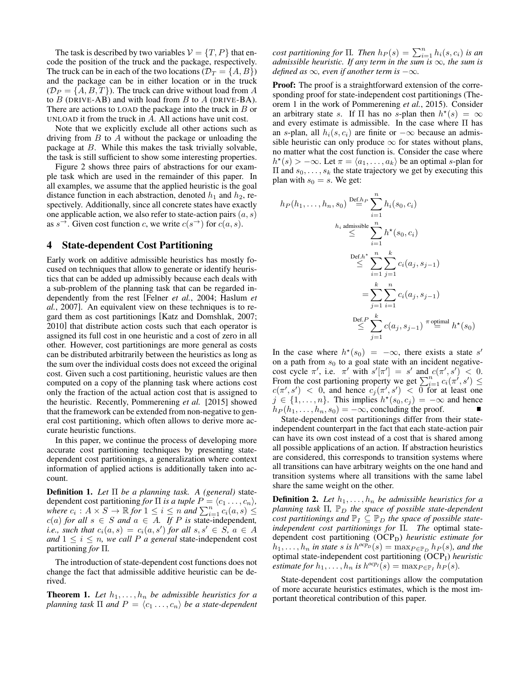The task is described by two variables  $V = \{T, P\}$  that encode the position of the truck and the package, respectively. The truck can be in each of the two locations ( $\mathcal{D}_T = \{A, B\}$ ) and the package can be in either location or in the truck  $(\mathcal{D}_P = \{A, B, T\})$ . The truck can drive without load from A to  $B$  (DRIVE-AB) and with load from  $B$  to  $A$  (DRIVE-BA). There are actions to LOAD the package into the truck in  $B$  or UNLOAD it from the truck in A. All actions have unit cost.

Note that we explicitly exclude all other actions such as driving from  $B$  to  $A$  without the package or unloading the package at  $B$ . While this makes the task trivially solvable, the task is still sufficient to show some interesting properties.

Figure 2 shows three pairs of abstractions for our example task which are used in the remainder of this paper. In all examples, we assume that the applied heuristic is the goal distance function in each abstraction, denoted  $h_1$  and  $h_2$ , respectively. Additionally, since all concrete states have exactly one applicable action, we also refer to state-action pairs  $(a, s)$ as  $s^{\rightarrow}$ . Given cost function c, we write  $c(s^{\rightarrow})$  for  $c(a, s)$ .

#### 4 State-dependent Cost Partitioning

Early work on additive admissible heuristics has mostly focused on techniques that allow to generate or identify heuristics that can be added up admissibly because each deals with a sub-problem of the planning task that can be regarded independently from the rest [Felner *et al.*, 2004; Haslum *et al.*, 2007]. An equivalent view on these techniques is to regard them as cost partitionings [Katz and Domshlak, 2007; 2010] that distribute action costs such that each operator is assigned its full cost in one heuristic and a cost of zero in all other. However, cost partitionings are more general as costs can be distributed arbitrarily between the heuristics as long as the sum over the individual costs does not exceed the original cost. Given such a cost partitioning, heuristic values are then computed on a copy of the planning task where actions cost only the fraction of the actual action cost that is assigned to the heuristic. Recently, Pommerening *et al.* [2015] showed that the framework can be extended from non-negative to general cost partitioning, which often allows to derive more accurate heuristic functions.

In this paper, we continue the process of developing more accurate cost partitioning techniques by presenting statedependent cost partitionings, a generalization where context information of applied actions is additionally taken into account.

Definition 1. *Let* Π *be a planning task. A (general)* statedependent cost partitioning *for*  $\Pi$  *is a tuple*  $P = \langle c_1, \ldots, c_n \rangle$ , *where*  $c_i : A \times S \to \mathbb{R}$  for  $1 \leq i \leq n$  *and*  $\sum_{i=1}^n c_i(a, s) \leq$  $c(a)$  *for all*  $s \in S$  *and*  $a \in A$ *. If*  $P$  *is* state-independent, *i.e., such that*  $c_i(a, s) = c_i(a, s')$  *for all*  $s, s' \in S$ ,  $a \in A$ *and*  $1 \leq i \leq n$ *, we call P a general* state-independent cost partitioning *for* Π*.*

The introduction of state-dependent cost functions does not change the fact that admissible additive heuristic can be derived.

**Theorem 1.** Let  $h_1, \ldots, h_n$  be admissible heuristics for a *planning task*  $\Pi$  *and*  $P = \langle c_1 \ldots, c_n \rangle$  *be a state-dependent* 

*cost partitioning for*  $\Pi$ *. Then*  $h_P(s) = \sum_{i=1}^n h_i(s, c_i)$  *is an admissible heuristic. If any term in the sum is*  $\infty$ *, the sum is defined as*  $\infty$ *, even if another term is*  $-\infty$ *.* 

Proof: The proof is a straightforward extension of the corresponding proof for state-independent cost partitionings (Theorem 1 in the work of Pommerening *et al.*, 2015). Consider an arbitrary state s. If  $\Pi$  has no s-plan then  $h^*(s) = \infty$ and every estimate is admissible. In the case where  $\Pi$  has an s-plan, all  $h_i(s, c_i)$  are finite or  $-\infty$  because an admissible heuristic can only produce  $\infty$  for states without plans, no matter what the cost function is. Consider the case where  $h^*(s) > -\infty$ . Let  $\pi = \langle a_1, \ldots, a_k \rangle$  be an optimal s-plan for  $\Pi$  and  $s_0, \ldots, s_k$  the state trajectory we get by executing this plan with  $s_0 = s$ . We get:

$$
h_P(h_1, \ldots, h_n, s_0) \stackrel{\text{Def.}h_P}{=} \sum_{i=1}^n h_i(s_0, c_i)
$$
  
\n
$$
\stackrel{h_i \text{ admissible}}{\leq} \sum_{i=1}^n h^*(s_0, c_i)
$$
  
\n
$$
\stackrel{\text{Def.}h^*}{\leq} \sum_{i=1}^n \sum_{j=1}^k c_i(a_j, s_{j-1})
$$
  
\n
$$
= \sum_{j=1}^k \sum_{i=1}^n c_i(a_j, s_{j-1})
$$
  
\n
$$
\stackrel{\text{Def.}P}{\leq} \sum_{j=1}^k c(a_j, s_{j-1}) \stackrel{\text{optimal}}{=} h^*(s_0)
$$

In the case where  $h^*(s_0) = -\infty$ , there exists a state s' on a path from  $s_0$  to a goal state with an incident negativecost cycle  $\pi'$ , i.e.  $\pi'$  with  $s'[\pi'] = s'$  and  $c(\pi', s') < 0$ . From the cost partioning property we get  $\sum_{i=1}^{n} c_i(\pi', s') \leq c(\pi', s') < 0$ , and hence  $c_j(\pi', s') < 0$  for at least one  $j \in \{1, \ldots, n\}$ . This implies  $h^*(s_0, c_j) = -\infty$  and hence  $h_P(h_1, \ldots, h_n, s_0) = -\infty$ , concluding the proof.

State-dependent cost partitionings differ from their stateindependent counterpart in the fact that each state-action pair can have its own cost instead of a cost that is shared among all possible applications of an action. If abstraction heuristics are considered, this corresponds to transition systems where all transitions can have arbitrary weights on the one hand and transition systems where all transitions with the same label share the same weight on the other.

**Definition 2.** Let  $h_1, \ldots, h_n$  be admissible heuristics for a *planning task* Π,  $\mathbb{P}_D$  *the space of possible state-dependent cost partitionings and*  $\mathbb{P}_I \subseteq \mathbb{P}_D$  *the space of possible stateindependent cost partitionings for* Π*. The* optimal statedependent cost partitioning (OCP<sub>D</sub>) *heuristic estimate for*  $h_1, \ldots, h_n$  in state s is  $h^{ocp_p}(s) = \max_{P \in \mathbb{P}_D} h_P(s)$ , and the optimal state-independent cost partitioning (OCPI) *heuristic estimate for*  $h_1, \ldots, h_n$  *is*  $h^{ocp_I}(s) = \max_{P \in \mathbb{P}_I} h_P(s)$ *.* 

State-dependent cost partitionings allow the computation of more accurate heuristics estimates, which is the most important theoretical contribution of this paper.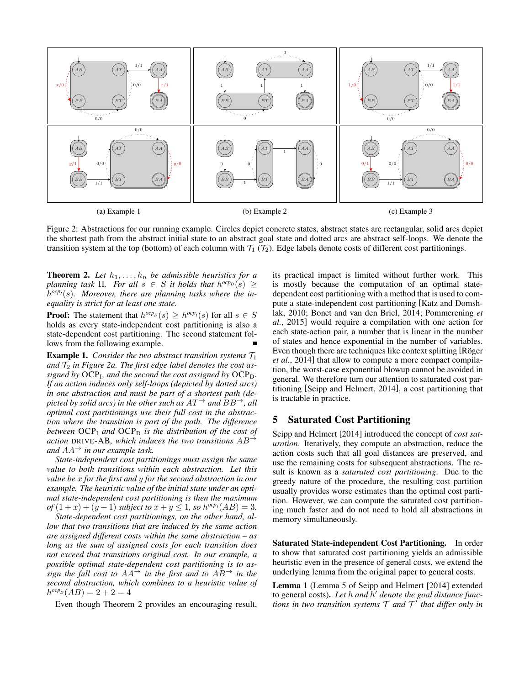

Figure 2: Abstractions for our running example. Circles depict concrete states, abstract states are rectangular, solid arcs depict the shortest path from the abstract initial state to an abstract goal state and dotted arcs are abstract self-loops. We denote the transition system at the top (bottom) of each column with  $\mathcal{T}_1$  ( $\mathcal{T}_2$ ). Edge labels denote costs of different cost partitionings.

**Theorem 2.** Let  $h_1, \ldots, h_n$  be admissible heuristics for a *planning task*  $\Pi$ *. For all*  $s \in S$  *it holds that*  $h^{ocp_p}(s) \ge$ h *ocpI*(s)*. Moreover, there are planning tasks where the inequality is strict for at least one state.*

**Proof:** The statement that  $h^{ocp}D(s) \geq h^{ocp}D(s)$  for all  $s \in S$ holds as every state-independent cost partitioning is also a state-dependent cost partitioning. The second statement follows from the following example.

**Example 1.** *Consider the two abstract transition systems*  $\mathcal{T}_1$ and  $\mathcal{T}_2$  in Figure 2a. The first edge label denotes the cost as*signed by* OCP<sup>I</sup> *, and the second the cost assigned by* OCPD*. If an action induces only self-loops (depicted by dotted arcs) in one abstraction and must be part of a shortest path (depicted by solid arcs) in the other such as*  $AT^{\rightarrow}$  *and*  $BB^{\rightarrow}$ *, all optimal cost partitionings use their full cost in the abstraction where the transition is part of the path. The difference between*  $OCP<sub>I</sub>$  *and*  $OCP<sub>D</sub>$  *is the distribution of the cost of action* DRIVE-AB*, which induces the two transitions* AB<sup>→</sup> *and*  $AA^{\rightarrow}$  *in our example task.* 

*State-independent cost partitionings must assign the same value to both transitions within each abstraction. Let this value be* x *for the first and* y *for the second abstraction in our example. The heuristic value of the initial state under an optimal state-independent cost partitioning is then the maximum of*  $(1+x)+(y+1)$  *subject to*  $x + y \le 1$ *, so*  $h^{ocp}I(AB) = 3$ .

*State-dependent cost partitionings, on the other hand, allow that two transitions that are induced by the same action are assigned different costs within the same abstraction – as long as the sum of assigned costs for each transition does not exceed that transitions original cost. In our example, a possible optimal state-dependent cost partitioning is to assign the full cost to*  $AA^{\rightarrow}$  *in the first and to*  $AB^{\rightarrow}$  *in the second abstraction, which combines to a heuristic value of*  $h^{ocp}D(AB) = 2 + 2 = 4$ 

Even though Theorem 2 provides an encouraging result,

its practical impact is limited without further work. This is mostly because the computation of an optimal statedependent cost partitioning with a method that is used to compute a state-independent cost partitioning [Katz and Domshlak, 2010; Bonet and van den Briel, 2014; Pommerening *et al.*, 2015] would require a compilation with one action for each state-action pair, a number that is linear in the number of states and hence exponential in the number of variables. Even though there are techniques like context splitting [Röger *et al.*, 2014] that allow to compute a more compact compilation, the worst-case exponential blowup cannot be avoided in general. We therefore turn our attention to saturated cost partitioning [Seipp and Helmert, 2014], a cost partitioning that is tractable in practice.

#### 5 Saturated Cost Partitioning

Seipp and Helmert [2014] introduced the concept of *cost saturation*. Iteratively, they compute an abstraction, reduce the action costs such that all goal distances are preserved, and use the remaining costs for subsequent abstractions. The result is known as a *saturated cost partitioning*. Due to the greedy nature of the procedure, the resulting cost partition usually provides worse estimates than the optimal cost partition. However, we can compute the saturated cost partitioning much faster and do not need to hold all abstractions in memory simultaneously.

Saturated State-independent Cost Partitioning. In order to show that saturated cost partitioning yields an admissible heuristic even in the presence of general costs, we extend the underlying lemma from the original paper to general costs.

Lemma 1 (Lemma 5 of Seipp and Helmert [2014] extended to general costs). Let  $h$  and  $\hat{h}'$  denote the goal distance functions in two transition systems  $\mathcal T$  and  $\mathcal T'$  that differ only in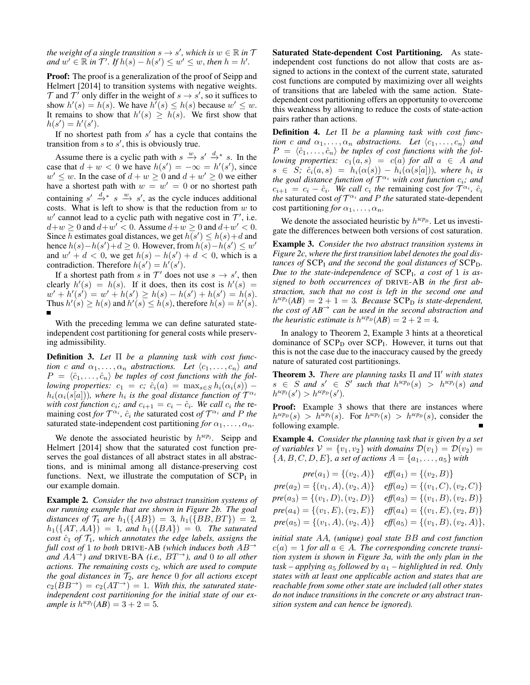*the weight of a single transition*  $s \to s'$ , which is  $w \in \mathbb{R}$  in T *and*  $w' \in \mathbb{R}$  *in*  $\mathcal{T}'$ *. If*  $h(s) - h(s') \leq w' \leq w$ *, then*  $h = h'$ *.* 

Proof: The proof is a generalization of the proof of Seipp and Helmert [2014] to transition systems with negative weights.  $\mathcal T$  and  $\mathcal T'$  only differ in the weight of  $s \to s'$ , so it suffices to show  $h'(s) = h(s)$ . We have  $h'(s) \leq h(s)$  because  $w' \leq w$ . It remains to show that  $h'(s) \geq h(s)$ . We first show that  $h(s') = h'(s')$ .

If no shortest path from  $s'$  has a cycle that contains the transition from  $s$  to  $s'$ , this is obviously true.

Assume there is a cyclic path with  $s \stackrel{w}{\rightarrow} s' \stackrel{d}{\rightarrow} s$ . In the case that  $d + w < 0$  we have  $h(s') = -\infty = h'(s')$ , since  $w' \leq w$ . In the case of  $d + w \geq 0$  and  $d + w' \geq 0$  we either have a shortest path with  $w = w' = 0$  or no shortest path containing  $s' \stackrel{d}{\rightarrow} s \stackrel{w}{\rightarrow} s'$ , as the cycle induces additional costs. What is left to show is that the reduction from  $w$  to  $w'$  cannot lead to a cyclic path with negative cost in  $\mathcal{T}'$ , i.e.  $d+w \geq 0$  and  $d+w' < 0$ . Assume  $d+w \geq 0$  and  $d+w' < 0$ . Since h estimates goal distances, we get  $h(s') \leq h(s) + d$  and hence  $h(s) - h(s') + d \ge 0$ . However, from  $h(s) - h(s') \le w'$ and  $w' + d < 0$ , we get  $h(s) - h(s') + d < 0$ , which is a contradiction. Therefore  $h(s') = h'(s')$ .

If a shortest path from s in  $\mathcal{T}'$  does not use  $s \to s'$ , then clearly  $h'(s) = h(s)$ . If it does, then its cost is  $h'(s) =$  $w' + h'(s') = w' + h(s') \geq h(s) - h(s') + h(s') = h(s).$ Thus  $h'(s) \ge h(s)$  and  $h'(s) \le h(s)$ , therefore  $h(s) = h'(s)$ .

With the preceding lemma we can define saturated stateindependent cost partitioning for general costs while preserving admissibility.

Definition 3. *Let* Π *be a planning task with cost function* c and  $\alpha_1, \ldots, \alpha_n$  abstractions. Let  $\langle c_1, \ldots, c_n \rangle$  and  $P = \langle \hat{c}_1, \ldots, \hat{c}_n \rangle$  be tuples of cost functions with the fol*lowing properties:*  $c_1 = c$ ;  $\hat{c}_i(a) = \max_{s \in S} h_i(\alpha_i(s))$  –  $h_i(\alpha_i(s[a]))$ , where  $h_i$  is the goal distance function of  $\mathcal{T}^{\alpha_i}$ *with cost function*  $c_i$ *; and*  $c_{i+1} = c_i - \hat{c}_i$ *. We call*  $c_i$  *the* remaining cost *for*  $T^{\alpha_i}$ ,  $\hat{c}_i$  *the* saturated cost *of*  $T^{\alpha_i}$  *and P the* saturated state-independent cost partitioning *for*  $\alpha_1, \ldots, \alpha_n$ .

We denote the associated heuristic by  $h^{scp_I}$ . Seipp and Helmert [2014] show that the saturated cost function preserves the goal distances of all abstract states in all abstractions, and is minimal among all distance-preserving cost functions. Next, we illustrate the computation of  ${SCP<sub>I</sub>}$  in our example domain.

Example 2. *Consider the two abstract transition systems of our running example that are shown in Figure 2b. The goal distances of*  $\mathcal{T}_1$  *are*  $h_1({AB}) = 3$ *,*  $h_1({BB, BT}) = 2$ *,*  $h_1({\{AT,AA\}}) = 1$ , and  $h_1({\{BA\}}) = 0$ . The saturated *cost*  $\hat{c}_1$  *of*  $\mathcal{T}_1$ *, which annotates the edge labels, assigns the full cost of* 1 *to both* DRIVE-AB *(which induces both* AB<sup>→</sup> *and*  $AA^{\rightarrow}$ *) and* DRIVE-BA (*i.e.,*  $BT^{\rightarrow}$ *), and* 0 *to all other actions. The remaining costs*  $c_2$ *, which are used to compute the goal distances in*  $\mathcal{T}_2$ *, are hence* 0 *for all actions except*  $c_2(BB^{\rightarrow}) = c_2(AT^{\rightarrow}) = 1$ . With this, the saturated state*independent cost partitioning for the initial state of our example is*  $h^{scp}I(AB) = 3 + 2 = 5$ *.* 

Saturated State-dependent Cost Partitioning. As stateindependent cost functions do not allow that costs are assigned to actions in the context of the current state, saturated cost functions are computed by maximizing over all weights of transitions that are labeled with the same action. Statedependent cost partitioning offers an opportunity to overcome this weakness by allowing to reduce the costs of state-action pairs rather than actions.

Definition 4. *Let* Π *be a planning task with cost function* c and  $\alpha_1, \ldots, \alpha_n$  abstractions. Let  $\langle c_1, \ldots, c_n \rangle$  and  $P = \langle \hat{c}_1, \ldots, \hat{c}_n \rangle$  be tuples of cost functions with the fol*lowing properties:*  $c_1(a, s) = c(a)$  *for all*  $a \in A$  *and*  $s \in S$ ;  $\hat{c}_i(a,s) = h_i(\alpha(s)) - h_i(\alpha(s[a]))$ , where  $h_i$  is *the goal distance function of* T <sup>α</sup><sup>i</sup> *with cost function* ci*; and*  $c_{i+1} = c_i - \hat{c}_i$ . We call  $c_i$  the remaining cost for  $\mathcal{T}^{\alpha_i}$ ,  $\hat{c}_i$ *the* saturated cost *of*  $T^{\alpha_i}$  *and P the* saturated state-dependent cost partitioning *for*  $\alpha_1, \ldots, \alpha_n$ .

We denote the associated heuristic by  $h^{rcp}D$ . Let us investigate the differences between both versions of cost saturation.

Example 3. *Consider the two abstract transition systems in Figure 2c, where the first transition label denotes the goal distances of*  $SCP<sub>I</sub>$  *and the second the goal distances of*  $SCP<sub>D</sub>$ *. Due to the state-independence of* SCP<sup>I</sup> *, a cost of* 1 *is assigned to both occurrences of* DRIVE-AB *in the first abstraction, such that no cost is left in the second one and*  $h^{sep}(AB) = 2 + 1 = 3$ . Because SCP<sub>D</sub> is state-dependent, *the cost of AB*<sup>→</sup> *can be used in the second abstraction and the heuristic estimate is*  $h^{rcp}(AB) = 2 + 2 = 4$ *.* 

In analogy to Theorem 2, Example 3 hints at a theoretical dominance of  $SCP<sub>D</sub>$  over  $SCP<sub>I</sub>$ . However, it turns out that this is not the case due to the inaccuracy caused by the greedy nature of saturated cost partitionings.

**Theorem 3.** *There are planning tasks*  $\Pi$  *and*  $\Pi'$  *with states*  $s \in S$  and  $s' \in S'$  such that  $h^{scp}D(s) > h^{scp}D(s)$  and  $h^{scp}I(s') > h^{scp}D(s').$ 

Proof: Example 3 shows that there are instances where  $h^{scp}(s) > h^{scp}(s)$ . For  $h^{scp}(s) > h^{scp}(s)$ , consider the following example.

Example 4. *Consider the planning task that is given by a set of variables*  $V = \{v_1, v_2\}$  *with domains*  $\mathcal{D}(v_1) = \mathcal{D}(v_2)$  =  ${A, B, C, D, E}$ *, a set of actions*  $A = {a_1, ..., a_5}$  *with* 

$$
pre(a_1) = \{(v_2, A)\} \quad \text{eff}(a_1) = \{(v_2, B)\}
$$
\n
$$
pre(a_2) = \{(v_1, A), (v_2, A)\} \quad \text{eff}(a_2) = \{(v_1, C), (v_2, C)\}
$$
\n
$$
pre(a_3) = \{(v_1, D), (v_2, D)\} \quad \text{eff}(a_3) = \{(v_1, B), (v_2, B)\}
$$
\n
$$
pre(a_4) = \{(v_1, E), (v_2, E)\} \quad \text{eff}(a_4) = \{(v_1, E), (v_2, B)\}
$$
\n
$$
pre(a_5) = \{(v_1, A), (v_2, A)\} \quad \text{eff}(a_5) = \{(v_1, B), (v_2, A)\},
$$

*initial state* AA*, (unique) goal state* BB *and cost function*  $c(a) = 1$  for all  $a \in A$ . The corresponding concrete transi*tion system is shown in Figure 3a, with the only plan in the*  $task - applying$   $a_5$  *followed by*  $a_1 - highlighted$  *in red. Only states with at least one applicable action and states that are reachable from some other state are included (all other states do not induce transitions in the concrete or any abstract transition system and can hence be ignored).*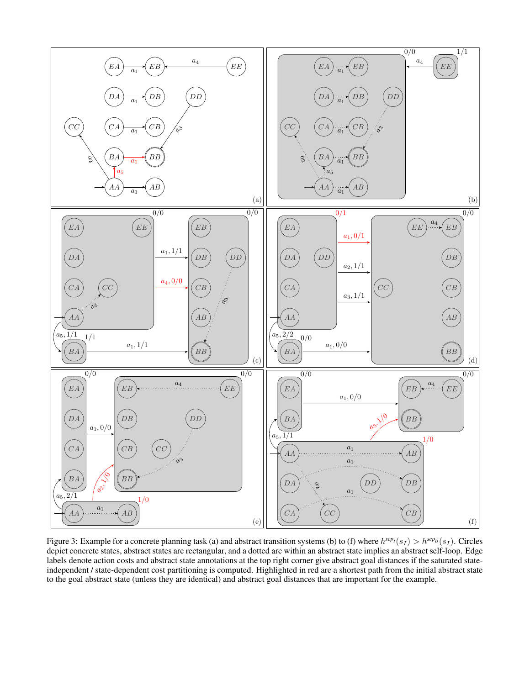

Figure 3: Example for a concrete planning task (a) and abstract transition systems (b) to (f) where  $h^{sep}(s_I) > h^{sep}(s_I)$ . Circles depict concrete states, abstract states are rectangular, and a dotted arc within an abstract state implies an abstract self-loop. Edge labels denote action costs and abstract state annotations at the top right corner give abstract goal distances if the saturated stateindependent / state-dependent cost partitioning is computed. Highlighted in red are a shortest path from the initial abstract state to the goal abstract state (unless they are identical) and abstract goal distances that are important for the example.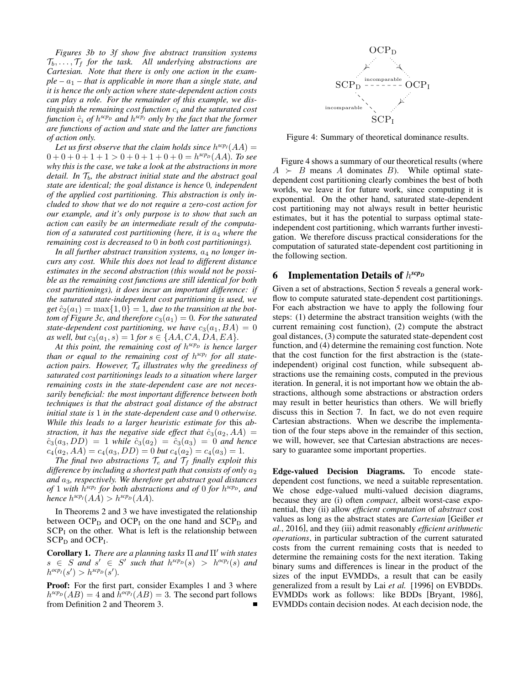*Figures 3b to 3f show five abstract transition systems*  $\mathcal{T}_b, \ldots, \mathcal{T}_f$  for the task. All underlying abstractions are *Cartesian. Note that there is only one action in the exam* $ple - a_1$  – that is applicable in more than a single state, and *it is hence the only action where state-dependent action costs can play a role. For the remainder of this example, we distinguish the remaining cost function*  $c_i$  *and the saturated cost* function  $\hat{c}_i$  of  $h^{scp_p}$  and  $h^{scp_I}$  only by the fact that the former *are functions of action and state and the latter are functions of action only.*

Let us first observe that the claim holds since  $h^{scp}I(AA)$  =  $0 + 0 + 0 + 1 + 1 > 0 + 0 + 1 + 0 + 0 = h^{rcp} (AA)$ *. To see why this is the case, we take a look at the abstractions in more detail. In*  $\mathcal{T}_b$ *, the abstract initial state and the abstract goal state are identical; the goal distance is hence* 0*, independent of the applied cost partitioning. This abstraction is only included to show that we do not require a zero-cost action for our example, and it's only purpose is to show that such an action can easily be an intermediate result of the computation of a saturated cost partitioning (here, it is*  $a_4$  *where the remaining cost is decreased to* 0 *in both cost partitionings).*

In all further abstract transition systems,  $a_4$  no longer in*curs any cost. While this does not lead to different distance estimates in the second abstraction (this would not be possible as the remaining cost functions are still identical for both cost partitionings), it does incur an important difference: if the saturated state-independent cost partitioning is used, we*  $get\ \hat{c}_2(a_1) = \max\{1, 0\} = 1$ , due to the transition at the bot*tom of Figure 3c, and therefore*  $c_3(a_1) = 0$ *. For the saturated state-dependent cost partitioning, we have*  $c_3(a_1, BA) = 0$ *as well, but*  $c_3(a_1, s) = 1$  *for*  $s \in \{AA, CA, DA, EA\}.$ 

*At this point, the remaining cost of* h *scp<sup>D</sup> is hence larger than or equal to the remaining cost of* h *scp<sup>I</sup> for all stateaction pairs. However,*  $T_d$  *illustrates why the greediness of saturated cost partitionings leads to a situation where larger remaining costs in the state-dependent case are not necessarily beneficial: the most important difference between both techniques is that the abstract goal distance of the abstract initial state is* 1 *in the state-dependent case and* 0 *otherwise. While this leads to a larger heuristic estimate for* this *abstraction, it has the negative side effect that*  $\hat{c}_3(a_2, AA)$  =  $\hat{c}_3(a_3, DD) = 1$  *while*  $\hat{c}_3(a_2) = \hat{c}_3(a_3) = 0$  *and hence*  $c_4(a_2, AA) = c_4(a_3, DD) = 0$  *but*  $c_4(a_2) = c_4(a_3) = 1$ .

*The final two abstractions*  $\mathcal{T}_e$  *and*  $\mathcal{T}_f$  *finally exploit this difference by including a shortest path that consists of only*  $a_2$ *and* a3*, respectively. We therefore get abstract goal distances of* 1 *with* h *scp<sup>I</sup> for both abstractions and of* 0 *for* h *scp<sup>D</sup> , and hence*  $h^{scp_I}(AA) > h^{scp_D}(AA)$ .

In Theorems 2 and 3 we have investigated the relationship between  $OCP<sub>D</sub>$  and  $OCP<sub>I</sub>$  on the one hand and  $SCP<sub>D</sub>$  and  $SCP<sub>I</sub>$  on the other. What is left is the relationship between  $\text{SCP}_\text{D}$  and  $\text{OCP}_\text{I}$ .

**Corollary 1.** *There are a planning tasks*  $\Pi$  *and*  $\Pi'$  *with states*  $s \in S$  *and*  $s' \in S'$  *such that*  $h^{scp}(s) > h^{ocp}(s)$  *and*  $h^{ocp}I(s') > h^{scp}D(s').$ 

Proof: For the first part, consider Examples 1 and 3 where  $h^{rcp}(AB) = 4$  and  $\hat{h}^{ocp}(AB) = 3$ . The second part follows from Definition 2 and Theorem 3.



Figure 4: Summary of theoretical dominance results.

Figure 4 shows a summary of our theoretical results (where  $A \rightarrow B$  means A dominates B). While optimal statedependent cost partitioning clearly combines the best of both worlds, we leave it for future work, since computing it is exponential. On the other hand, saturated state-dependent cost partitioning may not always result in better heuristic estimates, but it has the potential to surpass optimal stateindependent cost partitioning, which warrants further investigation. We therefore discuss practical considerations for the computation of saturated state-dependent cost partitioning in the following section.

# 6 Implementation Details of h *scp<sup>D</sup>*

Given a set of abstractions, Section 5 reveals a general workflow to compute saturated state-dependent cost partitionings. For each abstraction we have to apply the following four steps: (1) determine the abstract transition weights (with the current remaining cost function), (2) compute the abstract goal distances, (3) compute the saturated state-dependent cost function, and (4) determine the remaining cost function. Note that the cost function for the first abstraction is the (stateindependent) original cost function, while subsequent abstractions use the remaining costs, computed in the previous iteration. In general, it is not important how we obtain the abstractions, although some abstractions or abstraction orders may result in better heuristics than others. We will briefly discuss this in Section 7. In fact, we do not even require Cartesian abstractions. When we describe the implementation of the four steps above in the remainder of this section, we will, however, see that Cartesian abstractions are necessary to guarantee some important properties.

Edge-valued Decision Diagrams. To encode statedependent cost functions, we need a suitable representation. We chose edge-valued multi-valued decision diagrams, because they are (i) often *compact*, albeit worst-case exponential, they (ii) allow *efficient computation* of *abstract* cost values as long as the abstract states are *Cartesian* [Geißer *et al.*, 2016], and they (iii) admit reasonably *efficient arithmetic operations*, in particular subtraction of the current saturated costs from the current remaining costs that is needed to determine the remaining costs for the next iteration. Taking binary sums and differences is linear in the product of the sizes of the input EVMDDs, a result that can be easily generalized from a result by Lai *et al.* [1996] on EVBDDs. EVMDDs work as follows: like BDDs [Bryant, 1986], EVMDDs contain decision nodes. At each decision node, the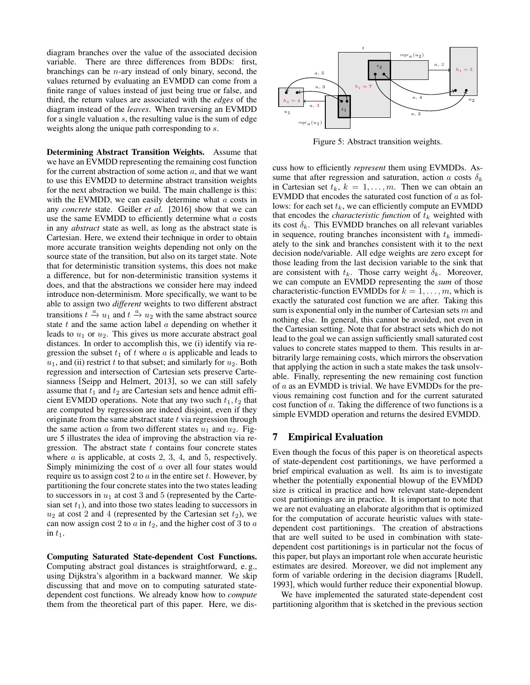diagram branches over the value of the associated decision variable. There are three differences from BDDs: first, branchings can be  $n$ -ary instead of only binary, second, the values returned by evaluating an EVMDD can come from a finite range of values instead of just being true or false, and third, the return values are associated with the *edges* of the diagram instead of the *leaves*. When traversing an EVMDD for a single valuation s, the resulting value is the sum of edge weights along the unique path corresponding to  $s$ .

Determining Abstract Transition Weights. Assume that we have an EVMDD representing the remaining cost function for the current abstraction of some action  $a$ , and that we want to use this EVMDD to determine abstract transition weights for the next abstraction we build. The main challenge is this: with the EVMDD, we can easily determine what  $a$  costs in any *concrete* state. Geißer *et al.* [2016] show that we can use the same EVMDD to efficiently determine what  $a$  costs in any *abstract* state as well, as long as the abstract state is Cartesian. Here, we extend their technique in order to obtain more accurate transition weights depending not only on the source state of the transition, but also on its target state. Note that for deterministic transition systems, this does not make a difference, but for non-deterministic transition systems it does, and that the abstractions we consider here may indeed introduce non-determinism. More specifically, we want to be able to assign two *different* weights to two different abstract transitions  $t \xrightarrow{a} u_1$  and  $t \xrightarrow{a} u_2$  with the same abstract source state  $t$  and the same action label  $a$  depending on whether it leads to  $u_1$  or  $u_2$ . This gives us more accurate abstract goal distances. In order to accomplish this, we (i) identify via regression the subset  $t_1$  of t where a is applicable and leads to  $u_1$ , and (ii) restrict t to that subset; and similarly for  $u_2$ . Both regression and intersection of Cartesian sets preserve Cartesianness [Seipp and Helmert, 2013], so we can still safely assume that  $t_1$  and  $t_2$  are Cartesian sets and hence admit efficient EVMDD operations. Note that any two such  $t_1, t_2$  that are computed by regression are indeed disjoint, even if they originate from the same abstract state  $t$  via regression through the same action a from two different states  $u_1$  and  $u_2$ . Figure 5 illustrates the idea of improving the abstraction via regression. The abstract state  $t$  contains four concrete states where  $a$  is applicable, at costs 2, 3, 4, and 5, respectively. Simply minimizing the cost of  $a$  over all four states would require us to assign cost 2 to  $a$  in the entire set  $t$ . However, by partitioning the four concrete states into the two states leading to successors in  $u_1$  at cost 3 and 5 (represented by the Cartesian set  $t_1$ ), and into those two states leading to successors in  $u_2$  at cost 2 and 4 (represented by the Cartesian set  $t_2$ ), we can now assign cost 2 to  $a$  in  $t_2$ , and the higher cost of 3 to  $a$ in  $t_1$ .

Computing Saturated State-dependent Cost Functions. Computing abstract goal distances is straightforward, e. g., using Dijkstra's algorithm in a backward manner. We skip discussing that and move on to computing saturated statedependent cost functions. We already know how to *compute* them from the theoretical part of this paper. Here, we dis-



Figure 5: Abstract transition weights.

cuss how to efficiently *represent* them using EVMDDs. Assume that after regression and saturation, action a costs  $\delta_k$ in Cartesian set  $t_k$ ,  $k = 1, \ldots, m$ . Then we can obtain an EVMDD that encodes the saturated cost function of  $a$  as follows: for each set  $t_k$ , we can efficiently compute an EVMDD that encodes the *characteristic function* of  $t_k$  weighted with its cost  $\delta_k$ . This EVMDD branches on all relevant variables in sequence, routing branches inconsistent with  $t_k$  immediately to the sink and branches consistent with it to the next decision node/variable. All edge weights are zero except for those leading from the last decision variable to the sink that are consistent with  $t_k$ . Those carry weight  $\delta_k$ . Moreover, we can compute an EVMDD representing the *sum* of those characteristic-function EVMDDs for  $k = 1, \ldots, m$ , which is exactly the saturated cost function we are after. Taking this sum is exponential only in the number of Cartesian sets  $m$  and nothing else. In general, this cannot be avoided, not even in the Cartesian setting. Note that for abstract sets which do not lead to the goal we can assign sufficiently small saturated cost values to concrete states mapped to them. This results in arbitrarily large remaining costs, which mirrors the observation that applying the action in such a state makes the task unsolvable. Finally, representing the new remaining cost function of a as an EVMDD is trivial. We have EVMDDs for the previous remaining cost function and for the current saturated cost function of a. Taking the difference of two functions is a simple EVMDD operation and returns the desired EVMDD.

#### 7 Empirical Evaluation

Even though the focus of this paper is on theoretical aspects of state-dependent cost partitionings, we have performed a brief empirical evaluation as well. Its aim is to investigate whether the potentially exponential blowup of the EVMDD size is critical in practice and how relevant state-dependent cost partitionings are in practice. It is important to note that we are not evaluating an elaborate algorithm that is optimized for the computation of accurate heuristic values with statedependent cost partitionings. The creation of abstractions that are well suited to be used in combination with statedependent cost partitionings is in particular not the focus of this paper, but plays an important role when accurate heuristic estimates are desired. Moreover, we did not implement any form of variable ordering in the decision diagrams [Rudell, 1993], which would further reduce their exponential blowup.

We have implemented the saturated state-dependent cost partitioning algorithm that is sketched in the previous section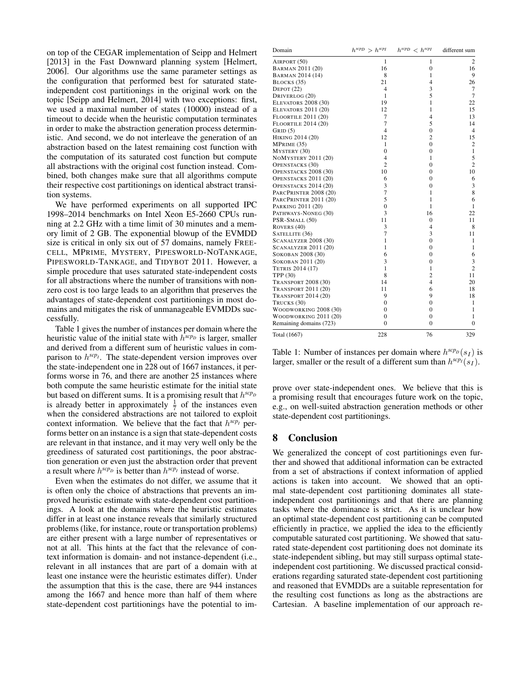on top of the CEGAR implementation of Seipp and Helmert [2013] in the Fast Downward planning system [Helmert, 2006]. Our algorithms use the same parameter settings as the configuration that performed best for saturated stateindependent cost partitionings in the original work on the topic [Seipp and Helmert, 2014] with two exceptions: first, we used a maximal number of states (10000) instead of a timeout to decide when the heuristic computation terminates in order to make the abstraction generation process deterministic. And second, we do not interleave the generation of an abstraction based on the latest remaining cost function with the computation of its saturated cost function but compute all abstractions with the original cost function instead. Combined, both changes make sure that all algorithms compute their respective cost partitionings on identical abstract transition systems.

We have performed experiments on all supported IPC 1998–2014 benchmarks on Intel Xeon E5-2660 CPUs running at 2.2 GHz with a time limit of 30 minutes and a memory limit of 2 GB. The exponential blowup of the EVMDD size is critical in only six out of 57 domains, namely FREE-CELL, MPRIME, MYSTERY, PIPESWORLD-NOTANKAGE, PIPESWORLD-TANKAGE, and TIDYBOT 2011. However, a simple procedure that uses saturated state-independent costs for all abstractions where the number of transitions with nonzero cost is too large leads to an algorithm that preserves the advantages of state-dependent cost partitionings in most domains and mitigates the risk of unmanageable EVMDDs successfully.

Table 1 gives the number of instances per domain where the heuristic value of the initial state with  $h^{scp}$  is larger, smaller and derived from a different sum of heuristic values in comparison to  $h^{scp}$ *I*. The state-dependent version improves over the state-independent one in 228 out of 1667 instances, it performs worse in 76, and there are another 25 instances where both compute the same heuristic estimate for the initial state but based on different sums. It is a promising result that  $h^{scp}D$ is already better in approximately  $\frac{1}{7}$  of the instances even when the considered abstractions are not tailored to exploit context information. We believe that the fact that  $h^{scp_I}$  performs better on an instance is a sign that state-dependent costs are relevant in that instance, and it may very well only be the greediness of saturated cost partitionings, the poor abstraction generation or even just the abstraction order that prevent a result where  $h^{scp}$  is better than  $h^{scp}$  instead of worse.

Even when the estimates do not differ, we assume that it is often only the choice of abstractions that prevents an improved heuristic estimate with state-dependent cost partitionings. A look at the domains where the heuristic estimates differ in at least one instance reveals that similarly structured problems (like, for instance, route or transportation problems) are either present with a large number of representatives or not at all. This hints at the fact that the relevance of context information is domain- and not instance-dependent (i.e., relevant in all instances that are part of a domain with at least one instance were the heuristic estimates differ). Under the assumption that this is the case, there are 944 instances among the 1667 and hence more than half of them where state-dependent cost partitionings have the potential to im-

| Domain                      | $h^{scp} > h^{scp}$ | $h^{scp}$ < $h^{scp}$ | different sum  |
|-----------------------------|---------------------|-----------------------|----------------|
| AIRPORT (50)                | 1                   | 1                     | 2              |
| BARMAN 2011 (20)            | 16                  | $\mathbf{0}$          | 16             |
| BARMAN 2014 (14)            | 8                   | $\mathbf{1}$          | 9              |
| BLOCKS (35)                 | 21                  | $\overline{4}$        | 26             |
| DEPOT $(22)$                | 4                   | 3                     | $\overline{7}$ |
| DRIVERLOG (20)              | $\mathbf{1}$        | 5                     | $\overline{7}$ |
| <b>ELEVATORS 2008 (30)</b>  | 19                  | $\mathbf{1}$          | 22             |
| <b>ELEVATORS 2011 (20)</b>  | 12                  | $\mathbf{1}$          | 15             |
| <b>FLOORTILE 2011 (20)</b>  | $\overline{7}$      | $\overline{4}$        | 13             |
| <b>FLOORTILE 2014 (20)</b>  | 7                   | 5                     | 14             |
| GRID(5)                     | $\overline{4}$      | $\boldsymbol{0}$      | $\overline{4}$ |
| HIKING 2014 (20)            | 12                  | $\overline{c}$        | 15             |
| MPRIME (35)                 | 1                   | $\mathbf{0}$          | $\overline{2}$ |
| MYSTERY (30)                | $\mathbf{0}$        | $\boldsymbol{0}$      | 1              |
| <b>NOMYSTERY 2011 (20)</b>  | $\overline{4}$      | $\mathbf{1}$          | 5              |
| <b>OPENSTACKS</b> (30)      | $\overline{c}$      | $\overline{0}$        | $\overline{c}$ |
| OPENSTACKS 2008 (30)        | 10                  | $\boldsymbol{0}$      | 10             |
| OPENSTACKS 2011 (20)        | 6                   | $\overline{0}$        | 6              |
| OPENSTACKS 2014 (20)        | 3                   | $\mathbf{0}$          | 3              |
| PARCPRINTER 2008 (20)       | $\overline{7}$      | $\mathbf{1}$          | 8              |
| PARCPRINTER 2011 (20)       | 5                   | 1                     | 6              |
| PARKING 2011 (20)           | $\overline{0}$      | 1                     | 1              |
| PATHWAYS-NONEG (30)         | 3                   | 16                    | 22             |
| PSR-SMALL (50)              | 11                  | $\mathbf{0}$          | 11             |
| ROVERS (40)                 | 3                   | 4                     | 8              |
| SATELLITE (36)              | 7                   | 3                     | 11             |
| <b>SCANALYZER 2008 (30)</b> | $\mathbf{1}$        | $\mathbf{0}$          | 1              |
| <b>SCANALYZER 2011 (20)</b> | $\mathbf{1}$        | $\boldsymbol{0}$      | 1              |
| SOKOBAN 2008 (30)           | 6                   | $\mathbf{0}$          | 6              |
| SOKOBAN 2011 (20)           | 3                   | $\mathbf{0}$          | 3              |
| TETRIS 2014 (17)            | $\mathbf{1}$        | 1                     | $\overline{c}$ |
| TPP (30)                    | 8                   | $\overline{c}$        | 11             |
| <b>TRANSPORT 2008 (30)</b>  | 14                  | $\overline{4}$        | 20             |
| <b>TRANSPORT 2011 (20)</b>  | 11                  | 6                     | 18             |
| <b>TRANSPORT 2014 (20)</b>  | 9                   | 9                     | 18             |
| TRUCKS (30)                 | $\boldsymbol{0}$    | $\overline{0}$        | 1              |
| WOODWORKING 2008 (30)       | $\boldsymbol{0}$    | $\mathbf{0}$          | 1              |
| WOODWORKING 2011 (20)       | $\Omega$            | $\mathbf{0}$          | 1              |
| Remaining domains (723)     | $\Omega$            | $\mathbf{0}$          | $\overline{0}$ |
| Total (1667)                | 228                 | 76                    | 329            |

Table 1: Number of instances per domain where  $h^{scp}(s_I)$  is larger, smaller or the result of a different sum than  $h^{sep}(s_I)$ .

prove over state-independent ones. We believe that this is a promising result that encourages future work on the topic, e.g., on well-suited abstraction generation methods or other state-dependent cost partitionings.

#### 8 Conclusion

We generalized the concept of cost partitionings even further and showed that additional information can be extracted from a set of abstractions if context information of applied actions is taken into account. We showed that an optimal state-dependent cost partitioning dominates all stateindependent cost partitionings and that there are planning tasks where the dominance is strict. As it is unclear how an optimal state-dependent cost partitioning can be computed efficiently in practice, we applied the idea to the efficiently computable saturated cost partitioning. We showed that saturated state-dependent cost partitioning does not dominate its state-independent sibling, but may still surpass optimal stateindependent cost partitioning. We discussed practical considerations regarding saturated state-dependent cost partitioning and reasoned that EVMDDs are a suitable representation for the resulting cost functions as long as the abstractions are Cartesian. A baseline implementation of our approach re